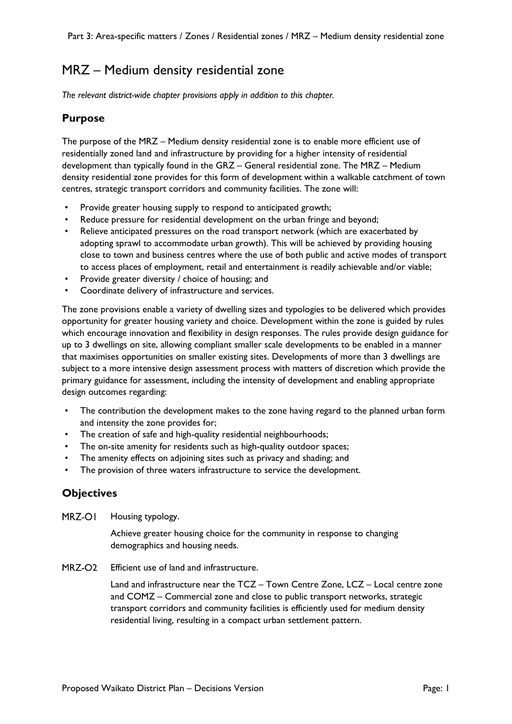# MRZ – Medium density residential zone

*The relevant district-wide chapter provisions apply in addition to this chapter.*

## **Purpose**

The purpose of the MRZ – Medium density residential zone is to enable more efficient use of residentially zoned land and infrastructure by providing for a higher intensity of residential development than typically found in the GRZ – General residential zone. The MRZ – Medium density residential zone provides for this form of development within a walkable catchment of town centres, strategic transport corridors and community facilities. The zone will:

- Provide greater housing supply to respond to anticipated growth;
- Reduce pressure for residential development on the urban fringe and beyond;
- Relieve anticipated pressures on the road transport network (which are exacerbated by adopting sprawl to accommodate urban growth). This will be achieved by providing housing close to town and business centres where the use of both public and active modes of transport to access places of employment, retail and entertainment is readily achievable and/or viable;
- Provide greater diversity / choice of housing; and
- Coordinate delivery of infrastructure and services.

The zone provisions enable a variety of dwelling sizes and typologies to be delivered which provides opportunity for greater housing variety and choice. Development within the zone is guided by rules which encourage innovation and flexibility in design responses. The rules provide design guidance for up to 3 dwellings on site, allowing compliant smaller scale developments to be enabled in a manner that maximises opportunities on smaller existing sites. Developments of more than 3 dwellings are subject to a more intensive design assessment process with matters of discretion which provide the primary guidance for assessment, including the intensity of development and enabling appropriate design outcomes regarding:

- The contribution the development makes to the zone having regard to the planned urban form and intensity the zone provides for;
- The creation of safe and high-quality residential neighbourhoods;
- The on-site amenity for residents such as high-quality outdoor spaces;
- The amenity effects on adjoining sites such as privacy and shading; and
- The provision of three waters infrastructure to service the development.

### **Objectives**

MRZ-OI Housing typology.

> Achieve greater housing choice for the community in response to changing demographics and housing needs.

MRZ-O<sub>2</sub> Efficient use of land and infrastructure.

> Land and infrastructure near the TCZ – Town Centre Zone, LCZ – Local centre zone and COMZ – Commercial zone and close to public transport networks, strategic transport corridors and community facilities is efficiently used for medium density residential living, resulting in a compact urban settlement pattern.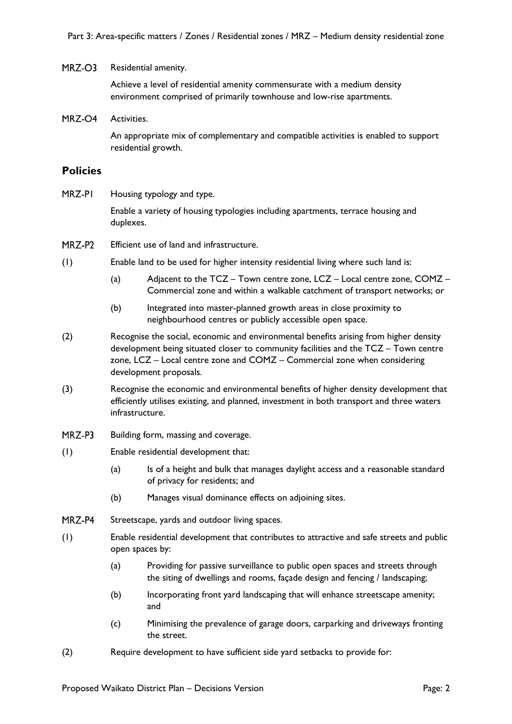#### MRZ-O3 Residential amenity.

Achieve a level of residential amenity commensurate with a medium density environment comprised of primarily townhouse and low-rise apartments.

MRZ-O4 Activities.

> An appropriate mix of complementary and compatible activities is enabled to support residential growth.

### **Policies**

MRZ-PI Housing typology and type.

> Enable a variety of housing typologies including apartments, terrace housing and duplexes.

- MRZ-P2 Efficient use of land and infrastructure.
- (1) Enable land to be used for higher intensity residential living where such land is:
	- (a) Adjacent to the TCZ Town centre zone, LCZ Local centre zone, COMZ Commercial zone and within a walkable catchment of transport networks; or
	- (b) Integrated into master-planned growth areas in close proximity to neighbourhood centres or publicly accessible open space.
- (2) Recognise the social, economic and environmental benefits arising from higher density development being situated closer to community facilities and the TCZ – Town centre zone, LCZ – Local centre zone and COMZ – Commercial zone when considering development proposals.
- (3) Recognise the economic and environmental benefits of higher density development that efficiently utilises existing, and planned, investment in both transport and three waters infrastructure.
- MRZ-P3 Building form, massing and coverage.
- (1) Enable residential development that:
	- (a) Is of a height and bulk that manages daylight access and a reasonable standard of privacy for residents; and
	- (b) Manages visual dominance effects on adjoining sites.
- MRZ-P4 Streetscape, yards and outdoor living spaces.
- (1) Enable residential development that contributes to attractive and safe streets and public open spaces by:
	- (a) Providing for passive surveillance to public open spaces and streets through the siting of dwellings and rooms, façade design and fencing / landscaping;
	- (b) Incorporating front yard landscaping that will enhance streetscape amenity; and
	- (c) Minimising the prevalence of garage doors, carparking and driveways fronting the street.
- (2) Require development to have sufficient side yard setbacks to provide for: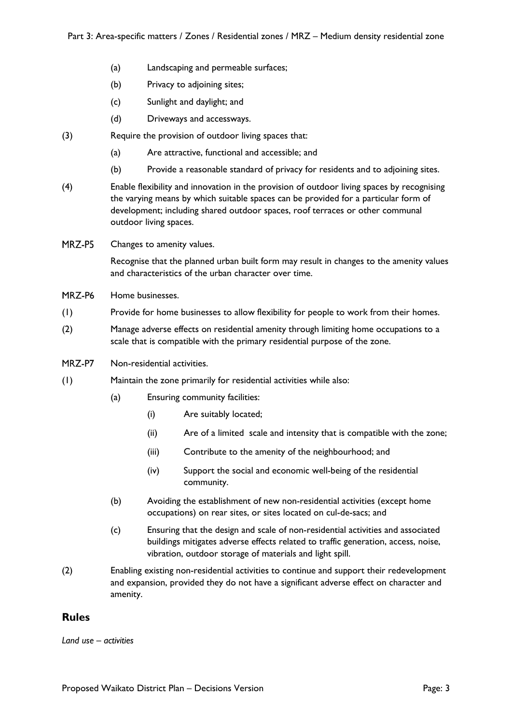- (a) Landscaping and permeable surfaces;
- (b) Privacy to adjoining sites;
- (c) Sunlight and daylight; and
- (d) Driveways and accessways.
- (3) Require the provision of outdoor living spaces that:
	- (a) Are attractive, functional and accessible; and
	- (b) Provide a reasonable standard of privacy for residents and to adjoining sites.
- (4) Enable flexibility and innovation in the provision of outdoor living spaces by recognising the varying means by which suitable spaces can be provided for a particular form of development; including shared outdoor spaces, roof terraces or other communal outdoor living spaces.
- MRZ-P5 Changes to amenity values.

Recognise that the planned urban built form may result in changes to the amenity values and characteristics of the urban character over time.

- MRZ-P6 Home businesses.
- (1) Provide for home businesses to allow flexibility for people to work from their homes.
- (2) Manage adverse effects on residential amenity through limiting home occupations to a scale that is compatible with the primary residential purpose of the zone.
- MRZ-P7 Non-residential activities.
- (1) Maintain the zone primarily for residential activities while also:
	- (a) Ensuring community facilities:
		- (i) Are suitably located;
		- (ii) Are of a limited scale and intensity that is compatible with the zone;
		- (iii) Contribute to the amenity of the neighbourhood; and
		- (iv) Support the social and economic well-being of the residential community.
	- (b) Avoiding the establishment of new non-residential activities (except home occupations) on rear sites, or sites located on cul-de-sacs; and
	- (c) Ensuring that the design and scale of non-residential activities and associated buildings mitigates adverse effects related to traffic generation, access, noise, vibration, outdoor storage of materials and light spill.
- (2) Enabling existing non-residential activities to continue and support their redevelopment and expansion, provided they do not have a significant adverse effect on character and amenity.

### **Rules**

*Land use – activities*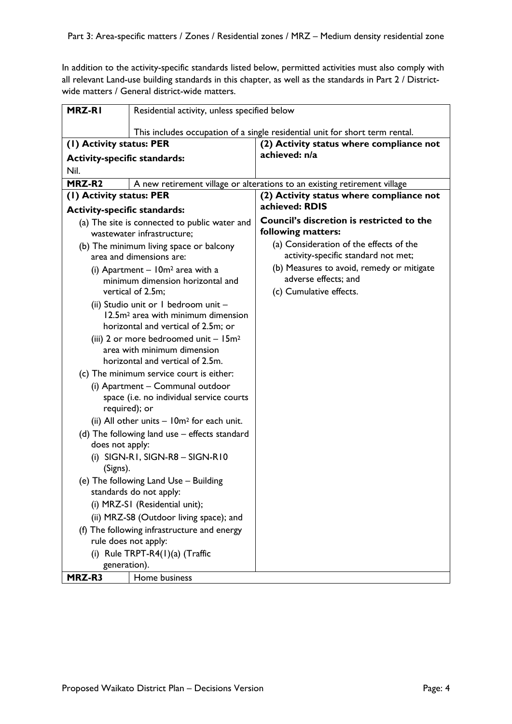In addition to the activity-specific standards listed below, permitted activities must also comply with all relevant Land-use building standards in this chapter, as well as the standards in Part 2 / Districtwide matters / General district-wide matters.

| MRZ-RI                                                                                                                        | Residential activity, unless specified below                                |                                                                                |
|-------------------------------------------------------------------------------------------------------------------------------|-----------------------------------------------------------------------------|--------------------------------------------------------------------------------|
|                                                                                                                               |                                                                             | This includes occupation of a single residential unit for short term rental.   |
| (1) Activity status: PER                                                                                                      |                                                                             | (2) Activity status where compliance not                                       |
| <b>Activity-specific standards:</b>                                                                                           |                                                                             | achieved: n/a                                                                  |
| Nil.                                                                                                                          |                                                                             |                                                                                |
| MRZ-R <sub>2</sub>                                                                                                            |                                                                             | A new retirement village or alterations to an existing retirement village      |
| (1) Activity status: PER                                                                                                      |                                                                             | (2) Activity status where compliance not                                       |
| <b>Activity-specific standards:</b>                                                                                           |                                                                             | achieved: RDIS                                                                 |
|                                                                                                                               | (a) The site is connected to public water and<br>wastewater infrastructure; | Council's discretion is restricted to the<br>following matters:                |
| (b) The minimum living space or balcony<br>area and dimensions are:                                                           |                                                                             | (a) Consideration of the effects of the<br>activity-specific standard not met; |
| (i) Apartment $-10m^2$ area with a<br>minimum dimension horizontal and                                                        |                                                                             | (b) Measures to avoid, remedy or mitigate<br>adverse effects; and              |
|                                                                                                                               | vertical of 2.5m;                                                           | (c) Cumulative effects.                                                        |
| (ii) Studio unit or I bedroom unit -<br>12.5m <sup>2</sup> area with minimum dimension<br>horizontal and vertical of 2.5m; or |                                                                             |                                                                                |
| (iii) 2 or more bedroomed unit $-15m^2$<br>area with minimum dimension<br>horizontal and vertical of 2.5m.                    |                                                                             |                                                                                |
|                                                                                                                               | (c) The minimum service court is either:                                    |                                                                                |
| (i) Apartment - Communal outdoor<br>space (i.e. no individual service courts<br>required); or                                 |                                                                             |                                                                                |
|                                                                                                                               | (ii) All other units $-10m^2$ for each unit.                                |                                                                                |
| (d) The following land use – effects standard<br>does not apply:                                                              |                                                                             |                                                                                |
| (i) SIGN-RI, SIGN-R8 - SIGN-RI0<br>(Signs).                                                                                   |                                                                             |                                                                                |
| (e) The following Land Use - Building<br>standards do not apply:                                                              |                                                                             |                                                                                |
| (i) MRZ-SI (Residential unit);                                                                                                |                                                                             |                                                                                |
| (ii) MRZ-S8 (Outdoor living space); and                                                                                       |                                                                             |                                                                                |
| (f) The following infrastructure and energy                                                                                   |                                                                             |                                                                                |
| rule does not apply:                                                                                                          |                                                                             |                                                                                |
| (i) Rule TRPT-R4 $(1)(a)$ (Traffic                                                                                            |                                                                             |                                                                                |
| generation).                                                                                                                  |                                                                             |                                                                                |
| MRZ-R3                                                                                                                        | Home business                                                               |                                                                                |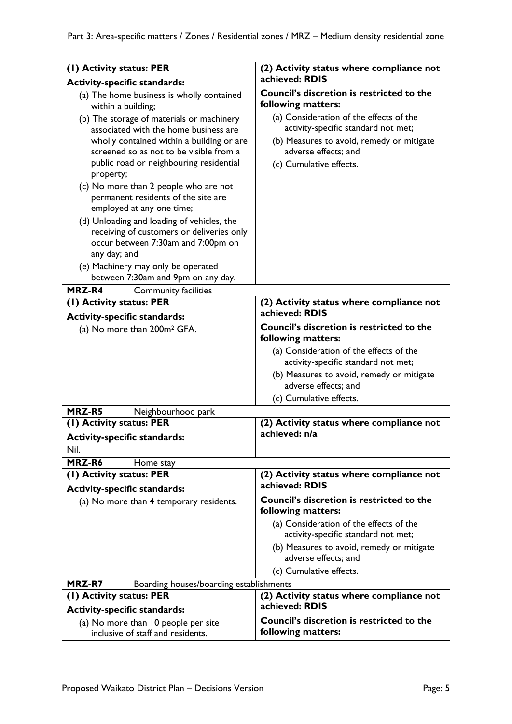| (1) Activity status: PER                                                                                                                                                   |                                         | (2) Activity status where compliance not                                                                                                            |
|----------------------------------------------------------------------------------------------------------------------------------------------------------------------------|-----------------------------------------|-----------------------------------------------------------------------------------------------------------------------------------------------------|
| <b>Activity-specific standards:</b>                                                                                                                                        |                                         | achieved: RDIS                                                                                                                                      |
| (a) The home business is wholly contained<br>within a building;                                                                                                            |                                         | Council's discretion is restricted to the<br>following matters:                                                                                     |
| (b) The storage of materials or machinery<br>associated with the home business are<br>wholly contained within a building or are<br>screened so as not to be visible from a |                                         | (a) Consideration of the effects of the<br>activity-specific standard not met;<br>(b) Measures to avoid, remedy or mitigate<br>adverse effects; and |
| public road or neighbouring residential<br>property;                                                                                                                       |                                         | (c) Cumulative effects.                                                                                                                             |
| (c) No more than 2 people who are not<br>permanent residents of the site are                                                                                               |                                         |                                                                                                                                                     |
| employed at any one time;<br>(d) Unloading and loading of vehicles, the<br>receiving of customers or deliveries only<br>occur between 7:30am and 7:00pm on<br>any day; and |                                         |                                                                                                                                                     |
| (e) Machinery may only be operated<br>between 7:30am and 9pm on any day.                                                                                                   |                                         |                                                                                                                                                     |
| <b>MRZ-R4</b>                                                                                                                                                              | <b>Community facilities</b>             |                                                                                                                                                     |
| (1) Activity status: PER                                                                                                                                                   |                                         | (2) Activity status where compliance not<br>achieved: RDIS                                                                                          |
| <b>Activity-specific standards:</b>                                                                                                                                        |                                         | Council's discretion is restricted to the                                                                                                           |
|                                                                                                                                                                            | (a) No more than 200m <sup>2</sup> GFA. | following matters:                                                                                                                                  |
|                                                                                                                                                                            |                                         | (a) Consideration of the effects of the<br>activity-specific standard not met;<br>(b) Measures to avoid, remedy or mitigate<br>adverse effects; and |
|                                                                                                                                                                            |                                         | (c) Cumulative effects.                                                                                                                             |
| MRZ-R5                                                                                                                                                                     | Neighbourhood park                      |                                                                                                                                                     |
| (1) Activity status: PER                                                                                                                                                   |                                         | (2) Activity status where compliance not                                                                                                            |
| <b>Activity-specific standards:</b>                                                                                                                                        |                                         | achieved: n/a                                                                                                                                       |
| Nil.                                                                                                                                                                       |                                         |                                                                                                                                                     |
| MRZ-R6                                                                                                                                                                     | Home stay                               |                                                                                                                                                     |
| (1) Activity status: PER<br><b>Activity-specific standards:</b>                                                                                                            |                                         | (2) Activity status where compliance not<br>achieved: RDIS                                                                                          |
| (a) No more than 4 temporary residents.                                                                                                                                    |                                         | <b>Council's discretion is restricted to the</b><br>following matters:                                                                              |
|                                                                                                                                                                            |                                         | (a) Consideration of the effects of the<br>activity-specific standard not met;                                                                      |
|                                                                                                                                                                            |                                         | (b) Measures to avoid, remedy or mitigate<br>adverse effects; and                                                                                   |
|                                                                                                                                                                            |                                         | (c) Cumulative effects.                                                                                                                             |
| MRZ-R7                                                                                                                                                                     | Boarding houses/boarding establishments |                                                                                                                                                     |
| (1) Activity status: PER                                                                                                                                                   |                                         | (2) Activity status where compliance not<br>achieved: RDIS                                                                                          |
| <b>Activity-specific standards:</b>                                                                                                                                        |                                         | Council's discretion is restricted to the                                                                                                           |
| (a) No more than 10 people per site<br>inclusive of staff and residents.                                                                                                   |                                         | following matters:                                                                                                                                  |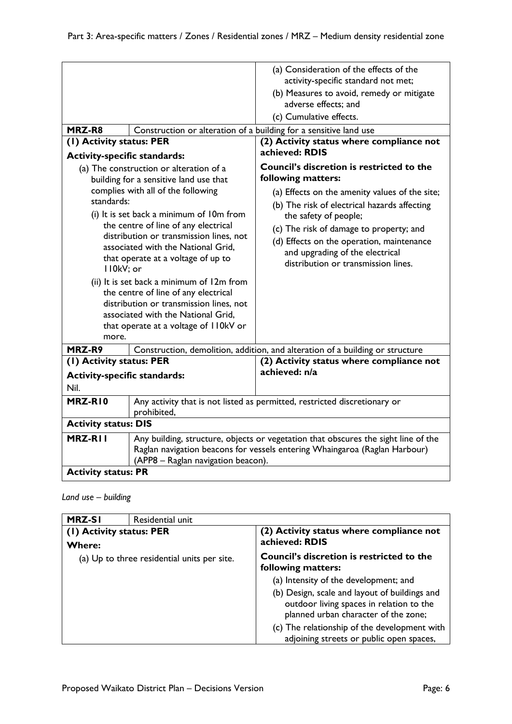| MRZ-R8<br>(1) Activity status: PER<br><b>Activity-specific standards:</b>                                                                                                                                                                                                                                                                                                                                                                                  | Construction or alteration of a building for a sensitive land use<br>(a) The construction or alteration of a<br>building for a sensitive land use that<br>complies with all of the following | (a) Consideration of the effects of the<br>activity-specific standard not met;<br>(b) Measures to avoid, remedy or mitigate<br>adverse effects; and<br>(c) Cumulative effects.<br>(2) Activity status where compliance not<br>achieved: RDIS<br>Council's discretion is restricted to the<br>following matters:<br>(a) Effects on the amenity values of the site; |
|------------------------------------------------------------------------------------------------------------------------------------------------------------------------------------------------------------------------------------------------------------------------------------------------------------------------------------------------------------------------------------------------------------------------------------------------------------|----------------------------------------------------------------------------------------------------------------------------------------------------------------------------------------------|-------------------------------------------------------------------------------------------------------------------------------------------------------------------------------------------------------------------------------------------------------------------------------------------------------------------------------------------------------------------|
| standards:<br>(i) It is set back a minimum of 10m from<br>the centre of line of any electrical<br>distribution or transmission lines, not<br>associated with the National Grid,<br>that operate at a voltage of up to<br>II0kV; or<br>(ii) It is set back a minimum of 12m from<br>the centre of line of any electrical<br>distribution or transmission lines, not<br>associated with the National Grid,<br>that operate at a voltage of 110kV or<br>more. |                                                                                                                                                                                              | (b) The risk of electrical hazards affecting<br>the safety of people;<br>(c) The risk of damage to property; and<br>(d) Effects on the operation, maintenance<br>and upgrading of the electrical<br>distribution or transmission lines.                                                                                                                           |
| MRZ-R9                                                                                                                                                                                                                                                                                                                                                                                                                                                     |                                                                                                                                                                                              | Construction, demolition, addition, and alteration of a building or structure                                                                                                                                                                                                                                                                                     |
| (1) Activity status: PER<br><b>Activity-specific standards:</b><br>Nil.                                                                                                                                                                                                                                                                                                                                                                                    |                                                                                                                                                                                              | (2) Activity status where compliance not<br>achieved: n/a                                                                                                                                                                                                                                                                                                         |
| MRZ-RIO                                                                                                                                                                                                                                                                                                                                                                                                                                                    | Any activity that is not listed as permitted, restricted discretionary or<br>prohibited,                                                                                                     |                                                                                                                                                                                                                                                                                                                                                                   |
| <b>Activity status: DIS</b>                                                                                                                                                                                                                                                                                                                                                                                                                                |                                                                                                                                                                                              |                                                                                                                                                                                                                                                                                                                                                                   |
| MRZ-RII<br>Any building, structure, objects or vegetation that obscures the sight line of the<br>Raglan navigation beacons for vessels entering Whaingaroa (Raglan Harbour)<br>(APP8 - Raglan navigation beacon).                                                                                                                                                                                                                                          |                                                                                                                                                                                              |                                                                                                                                                                                                                                                                                                                                                                   |
| <b>Activity status: PR</b>                                                                                                                                                                                                                                                                                                                                                                                                                                 |                                                                                                                                                                                              |                                                                                                                                                                                                                                                                                                                                                                   |

### *Land use – building*

| <b>MRZ-SI</b>                               | Residential unit |                                                                                                                                   |
|---------------------------------------------|------------------|-----------------------------------------------------------------------------------------------------------------------------------|
| (1) Activity status: PER<br><b>Where:</b>   |                  | (2) Activity status where compliance not<br>achieved: RDIS                                                                        |
| (a) Up to three residential units per site. |                  | <b>Council's discretion is restricted to the</b><br>following matters:                                                            |
|                                             |                  | (a) Intensity of the development; and                                                                                             |
|                                             |                  | (b) Design, scale and layout of buildings and<br>outdoor living spaces in relation to the<br>planned urban character of the zone; |
|                                             |                  | (c) The relationship of the development with<br>adjoining streets or public open spaces,                                          |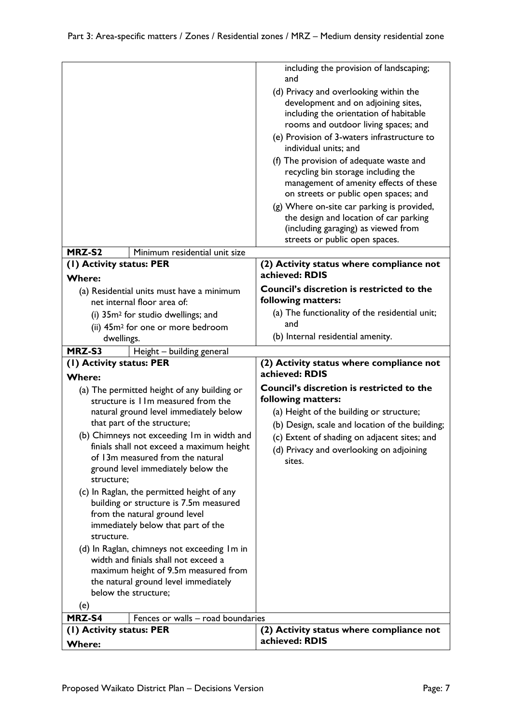|                                                                                                                                                                                                                                                                                                                                                                                                                                                                                                                                                                                                                                                                                                                                            |                                                                                                                                                                             | including the provision of landscaping;<br>and<br>(d) Privacy and overlooking within the<br>development and on adjoining sites,<br>including the orientation of habitable<br>rooms and outdoor living spaces; and<br>(e) Provision of 3-waters infrastructure to<br>individual units; and<br>(f) The provision of adequate waste and<br>recycling bin storage including the<br>management of amenity effects of these<br>on streets or public open spaces; and<br>(g) Where on-site car parking is provided,<br>the design and location of car parking<br>(including garaging) as viewed from<br>streets or public open spaces. |
|--------------------------------------------------------------------------------------------------------------------------------------------------------------------------------------------------------------------------------------------------------------------------------------------------------------------------------------------------------------------------------------------------------------------------------------------------------------------------------------------------------------------------------------------------------------------------------------------------------------------------------------------------------------------------------------------------------------------------------------------|-----------------------------------------------------------------------------------------------------------------------------------------------------------------------------|---------------------------------------------------------------------------------------------------------------------------------------------------------------------------------------------------------------------------------------------------------------------------------------------------------------------------------------------------------------------------------------------------------------------------------------------------------------------------------------------------------------------------------------------------------------------------------------------------------------------------------|
| MRZ-S2<br>(1) Activity status: PER                                                                                                                                                                                                                                                                                                                                                                                                                                                                                                                                                                                                                                                                                                         | Minimum residential unit size                                                                                                                                               | (2) Activity status where compliance not                                                                                                                                                                                                                                                                                                                                                                                                                                                                                                                                                                                        |
| <b>Where:</b>                                                                                                                                                                                                                                                                                                                                                                                                                                                                                                                                                                                                                                                                                                                              |                                                                                                                                                                             | achieved: RDIS                                                                                                                                                                                                                                                                                                                                                                                                                                                                                                                                                                                                                  |
| dwellings.                                                                                                                                                                                                                                                                                                                                                                                                                                                                                                                                                                                                                                                                                                                                 | (a) Residential units must have a minimum<br>net internal floor area of:<br>(i) 35m <sup>2</sup> for studio dwellings; and<br>(ii) 45m <sup>2</sup> for one or more bedroom | Council's discretion is restricted to the<br>following matters:<br>(a) The functionality of the residential unit;<br>and<br>(b) Internal residential amenity.                                                                                                                                                                                                                                                                                                                                                                                                                                                                   |
| MRZ-S3                                                                                                                                                                                                                                                                                                                                                                                                                                                                                                                                                                                                                                                                                                                                     | Height - building general                                                                                                                                                   |                                                                                                                                                                                                                                                                                                                                                                                                                                                                                                                                                                                                                                 |
| (1) Activity status: PER                                                                                                                                                                                                                                                                                                                                                                                                                                                                                                                                                                                                                                                                                                                   |                                                                                                                                                                             | (2) Activity status where compliance not                                                                                                                                                                                                                                                                                                                                                                                                                                                                                                                                                                                        |
| <b>Where:</b><br>(a) The permitted height of any building or<br>structure is 11m measured from the<br>natural ground level immediately below<br>that part of the structure;<br>(b) Chimneys not exceeding Im in width and<br>finials shall not exceed a maximum height<br>of 13m measured from the natural<br>ground level immediately below the<br>structure;<br>(c) In Raglan, the permitted height of any<br>building or structure is 7.5m measured<br>from the natural ground level<br>immediately below that part of the<br>structure.<br>(d) In Raglan, chimneys not exceeding Im in<br>width and finials shall not exceed a<br>maximum height of 9.5m measured from<br>the natural ground level immediately<br>below the structure; |                                                                                                                                                                             | achieved: RDIS<br><b>Council's discretion is restricted to the</b><br>following matters:<br>(a) Height of the building or structure;<br>(b) Design, scale and location of the building;<br>(c) Extent of shading on adjacent sites; and<br>(d) Privacy and overlooking on adjoining<br>sites.                                                                                                                                                                                                                                                                                                                                   |
| (e)<br>MRZ-S4                                                                                                                                                                                                                                                                                                                                                                                                                                                                                                                                                                                                                                                                                                                              | Fences or walls - road boundaries                                                                                                                                           |                                                                                                                                                                                                                                                                                                                                                                                                                                                                                                                                                                                                                                 |
| (1) Activity status: PER<br><b>Where:</b>                                                                                                                                                                                                                                                                                                                                                                                                                                                                                                                                                                                                                                                                                                  |                                                                                                                                                                             | (2) Activity status where compliance not<br>achieved: RDIS                                                                                                                                                                                                                                                                                                                                                                                                                                                                                                                                                                      |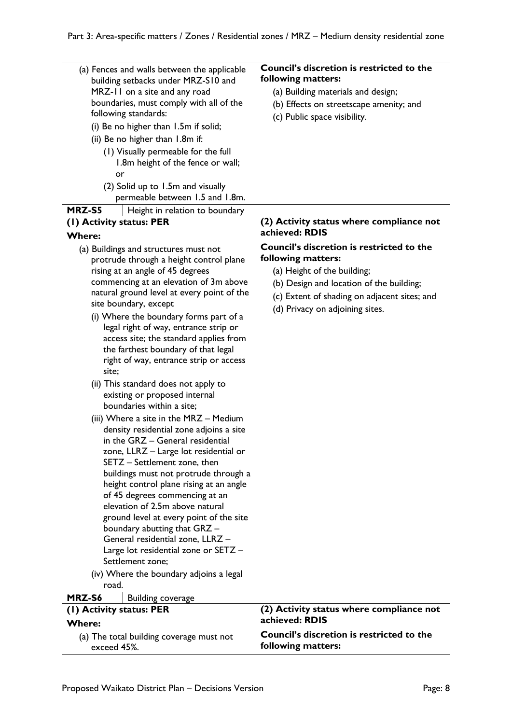| (a) Fences and walls between the applicable | Council's discretion is restricted to the                  |
|---------------------------------------------|------------------------------------------------------------|
| building setbacks under MRZ-S10 and         | following matters:                                         |
| MRZ-11 on a site and any road               | (a) Building materials and design;                         |
| boundaries, must comply with all of the     | (b) Effects on streetscape amenity; and                    |
| following standards:                        | (c) Public space visibility.                               |
| (i) Be no higher than 1.5m if solid;        |                                                            |
| (ii) Be no higher than 1.8m if:             |                                                            |
| (1) Visually permeable for the full         |                                                            |
| 1.8m height of the fence or wall;           |                                                            |
| or                                          |                                                            |
| (2) Solid up to 1.5m and visually           |                                                            |
| permeable between 1.5 and 1.8m.             |                                                            |
| MRZ-S5<br>Height in relation to boundary    |                                                            |
|                                             |                                                            |
| (1) Activity status: PER                    | (2) Activity status where compliance not<br>achieved: RDIS |
| <b>Where:</b>                               |                                                            |
| (a) Buildings and structures must not       | Council's discretion is restricted to the                  |
| protrude through a height control plane     | following matters:                                         |
| rising at an angle of 45 degrees            | (a) Height of the building;                                |
| commencing at an elevation of 3m above      | (b) Design and location of the building;                   |
| natural ground level at every point of the  | (c) Extent of shading on adjacent sites; and               |
| site boundary, except                       | (d) Privacy on adjoining sites.                            |
| (i) Where the boundary forms part of a      |                                                            |
| legal right of way, entrance strip or       |                                                            |
| access site; the standard applies from      |                                                            |
| the farthest boundary of that legal         |                                                            |
| right of way, entrance strip or access      |                                                            |
| site;                                       |                                                            |
| (ii) This standard does not apply to        |                                                            |
| existing or proposed internal               |                                                            |
| boundaries within a site;                   |                                                            |
| (iii) Where a site in the MRZ - Medium      |                                                            |
| density residential zone adjoins a site     |                                                            |
| in the GRZ - General residential            |                                                            |
| zone, LLRZ - Large lot residential or       |                                                            |
| SETZ - Settlement zone, then                |                                                            |
| buildings must not protrude through a       |                                                            |
| height control plane rising at an angle     |                                                            |
| of 45 degrees commencing at an              |                                                            |
| elevation of 2.5m above natural             |                                                            |
| ground level at every point of the site     |                                                            |
| boundary abutting that GRZ -                |                                                            |
| General residential zone, LLRZ -            |                                                            |
| Large lot residential zone or SETZ -        |                                                            |
| Settlement zone;                            |                                                            |
| (iv) Where the boundary adjoins a legal     |                                                            |
| road.                                       |                                                            |
| MRZ-S6<br>Building coverage                 |                                                            |
| (1) Activity status: PER                    | (2) Activity status where compliance not                   |
| <b>Where:</b>                               | achieved: RDIS                                             |
| (a) The total building coverage must not    | Council's discretion is restricted to the                  |
| exceed 45%.                                 | following matters:                                         |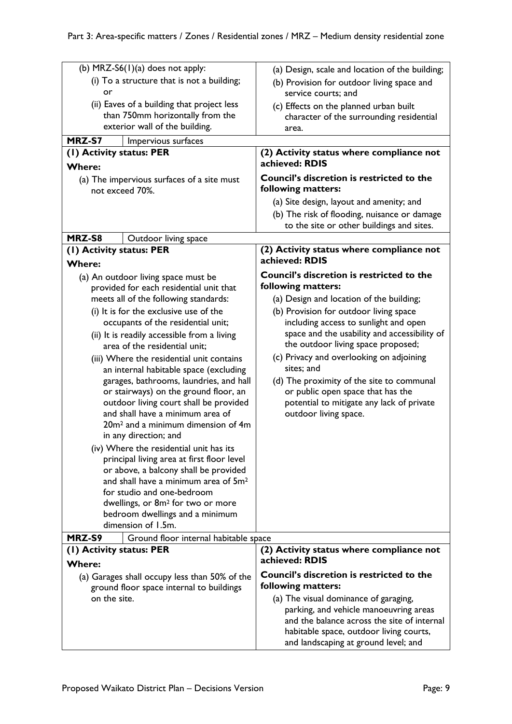| (b) $MRZ-S6(1)(a)$ does not apply:<br>(i) To a structure that is not a building;<br>or<br>(ii) Eaves of a building that project less<br>than 750mm horizontally from the<br>exterior wall of the building.                                                                                                                                                                                                                                                                                                                                                                                                                                                                                                                                                                                                                                                                                                                                                | (a) Design, scale and location of the building;<br>(b) Provision for outdoor living space and<br>service courts; and<br>(c) Effects on the planned urban built<br>character of the surrounding residential<br>area.                                                                                                                                                                                                                                                                                           |
|-----------------------------------------------------------------------------------------------------------------------------------------------------------------------------------------------------------------------------------------------------------------------------------------------------------------------------------------------------------------------------------------------------------------------------------------------------------------------------------------------------------------------------------------------------------------------------------------------------------------------------------------------------------------------------------------------------------------------------------------------------------------------------------------------------------------------------------------------------------------------------------------------------------------------------------------------------------|---------------------------------------------------------------------------------------------------------------------------------------------------------------------------------------------------------------------------------------------------------------------------------------------------------------------------------------------------------------------------------------------------------------------------------------------------------------------------------------------------------------|
| MRZ-S7<br>Impervious surfaces                                                                                                                                                                                                                                                                                                                                                                                                                                                                                                                                                                                                                                                                                                                                                                                                                                                                                                                             |                                                                                                                                                                                                                                                                                                                                                                                                                                                                                                               |
| (1) Activity status: PER<br><b>Where:</b>                                                                                                                                                                                                                                                                                                                                                                                                                                                                                                                                                                                                                                                                                                                                                                                                                                                                                                                 | (2) Activity status where compliance not<br>achieved: RDIS                                                                                                                                                                                                                                                                                                                                                                                                                                                    |
| (a) The impervious surfaces of a site must<br>not exceed 70%.                                                                                                                                                                                                                                                                                                                                                                                                                                                                                                                                                                                                                                                                                                                                                                                                                                                                                             | <b>Council's discretion is restricted to the</b><br>following matters:                                                                                                                                                                                                                                                                                                                                                                                                                                        |
|                                                                                                                                                                                                                                                                                                                                                                                                                                                                                                                                                                                                                                                                                                                                                                                                                                                                                                                                                           | (a) Site design, layout and amenity; and<br>(b) The risk of flooding, nuisance or damage<br>to the site or other buildings and sites.                                                                                                                                                                                                                                                                                                                                                                         |
| MRZ-S8<br>Outdoor living space                                                                                                                                                                                                                                                                                                                                                                                                                                                                                                                                                                                                                                                                                                                                                                                                                                                                                                                            |                                                                                                                                                                                                                                                                                                                                                                                                                                                                                                               |
| (1) Activity status: PER<br><b>Where:</b>                                                                                                                                                                                                                                                                                                                                                                                                                                                                                                                                                                                                                                                                                                                                                                                                                                                                                                                 | (2) Activity status where compliance not<br>achieved: RDIS                                                                                                                                                                                                                                                                                                                                                                                                                                                    |
| (a) An outdoor living space must be<br>provided for each residential unit that<br>meets all of the following standards:<br>(i) It is for the exclusive use of the<br>occupants of the residential unit;<br>(ii) It is readily accessible from a living<br>area of the residential unit;<br>(iii) Where the residential unit contains<br>an internal habitable space (excluding<br>garages, bathrooms, laundries, and hall<br>or stairways) on the ground floor, an<br>outdoor living court shall be provided<br>and shall have a minimum area of<br>20m <sup>2</sup> and a minimum dimension of 4m<br>in any direction; and<br>(iv) Where the residential unit has its<br>principal living area at first floor level<br>or above, a balcony shall be provided<br>and shall have a minimum area of 5m <sup>2</sup><br>for studio and one-bedroom<br>dwellings, or 8m <sup>2</sup> for two or more<br>bedroom dwellings and a minimum<br>dimension of 1.5m. | <b>Council's discretion is restricted to the</b><br>following matters:<br>(a) Design and location of the building;<br>(b) Provision for outdoor living space<br>including access to sunlight and open<br>space and the usability and accessibility of<br>the outdoor living space proposed;<br>(c) Privacy and overlooking on adjoining<br>sites; and<br>(d) The proximity of the site to communal<br>or public open space that has the<br>potential to mitigate any lack of private<br>outdoor living space. |
| MRZ-S9<br>Ground floor internal habitable space                                                                                                                                                                                                                                                                                                                                                                                                                                                                                                                                                                                                                                                                                                                                                                                                                                                                                                           |                                                                                                                                                                                                                                                                                                                                                                                                                                                                                                               |
| (1) Activity status: PER<br><b>Where:</b>                                                                                                                                                                                                                                                                                                                                                                                                                                                                                                                                                                                                                                                                                                                                                                                                                                                                                                                 | (2) Activity status where compliance not<br>achieved: RDIS                                                                                                                                                                                                                                                                                                                                                                                                                                                    |
| (a) Garages shall occupy less than 50% of the<br>ground floor space internal to buildings<br>on the site.                                                                                                                                                                                                                                                                                                                                                                                                                                                                                                                                                                                                                                                                                                                                                                                                                                                 | <b>Council's discretion is restricted to the</b><br>following matters:<br>(a) The visual dominance of garaging,<br>parking, and vehicle manoeuvring areas<br>and the balance across the site of internal                                                                                                                                                                                                                                                                                                      |
|                                                                                                                                                                                                                                                                                                                                                                                                                                                                                                                                                                                                                                                                                                                                                                                                                                                                                                                                                           | habitable space, outdoor living courts,<br>and landscaping at ground level; and                                                                                                                                                                                                                                                                                                                                                                                                                               |